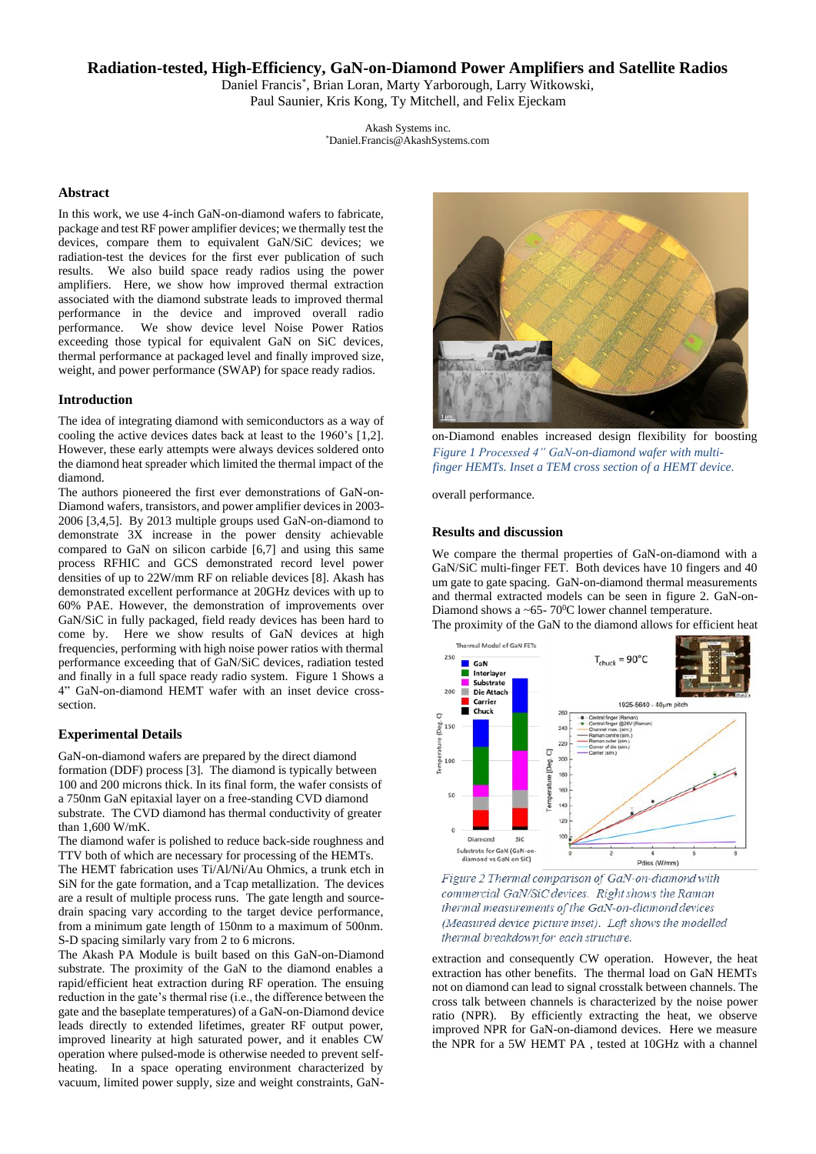# **Radiation-tested, High-Efficiency, GaN-on-Diamond Power Amplifiers and Satellite Radios**

Daniel Francis\* , Brian Loran, Marty Yarborough, Larry Witkowski, Paul Saunier, Kris Kong, Ty Mitchell, and Felix Ejeckam

> Akash Systems inc. \*Daniel.Francis@AkashSystems.com

#### **Abstract**

In this work, we use 4-inch GaN-on-diamond wafers to fabricate, package and test RF power amplifier devices; we thermally test the devices, compare them to equivalent GaN/SiC devices; we radiation-test the devices for the first ever publication of such results. We also build space ready radios using the power amplifiers. Here, we show how improved thermal extraction associated with the diamond substrate leads to improved thermal performance in the device and improved overall radio performance. We show device level Noise Power Ratios exceeding those typical for equivalent GaN on SiC devices, thermal performance at packaged level and finally improved size, weight, and power performance (SWAP) for space ready radios.

#### **Introduction**

The idea of integrating diamond with semiconductors as a way of cooling the active devices dates back at least to the 1960's [1,2]. However, these early attempts were always devices soldered onto the diamond heat spreader which limited the thermal impact of the diamond.

The authors pioneered the first ever demonstrations of GaN-on-Diamond wafers, transistors, and power amplifier devices in 2003- 2006 [3,4,5]. By 2013 multiple groups used GaN-on-diamond to demonstrate 3X increase in the power density achievable compared to GaN on silicon carbide [6,7] and using this same process RFHIC and GCS demonstrated record level power densities of up to 22W/mm RF on reliable devices [8]. Akash has demonstrated excellent performance at 20GHz devices with up to 60% PAE. However, the demonstration of improvements over GaN/SiC in fully packaged, field ready devices has been hard to come by. Here we show results of GaN devices at high frequencies, performing with high noise power ratios with thermal performance exceeding that of GaN/SiC devices, radiation tested and finally in a full space ready radio system. Figure 1 Shows a 4" GaN-on-diamond HEMT wafer with an inset device crosssection.

# **Experimental Details**

GaN-on-diamond wafers are prepared by the direct diamond formation (DDF) process [3]. The diamond is typically between 100 and 200 microns thick. In its final form, the wafer consists of a 750nm GaN epitaxial layer on a free-standing CVD diamond substrate. The CVD diamond has thermal conductivity of greater than  $1,600 \text{ W/mK}$ .

The diamond wafer is polished to reduce back-side roughness and TTV both of which are necessary for processing of the HEMTs. The HEMT fabrication uses Ti/Al/Ni/Au Ohmics, a trunk etch in SiN for the gate formation, and a Tcap metallization. The devices are a result of multiple process runs. The gate length and sourcedrain spacing vary according to the target device performance, from a minimum gate length of 150nm to a maximum of 500nm. S-D spacing similarly vary from 2 to 6 microns.

The Akash PA Module is built based on this GaN-on-Diamond substrate. The proximity of the GaN to the diamond enables a rapid/efficient heat extraction during RF operation. The ensuing reduction in the gate's thermal rise (i.e., the difference between the gate and the baseplate temperatures) of a GaN-on-Diamond device leads directly to extended lifetimes, greater RF output power, improved linearity at high saturated power, and it enables CW operation where pulsed-mode is otherwise needed to prevent selfheating. In a space operating environment characterized by vacuum, limited power supply, size and weight constraints, GaN-



on-Diamond enables increased design flexibility for boosting *Figure 1 Processed 4" GaN-on-diamond wafer with multifinger HEMTs. Inset a TEM cross section of a HEMT device.*

overall performance.

## **Results and discussion**

We compare the thermal properties of GaN-on-diamond with a GaN/SiC multi-finger FET. Both devices have 10 fingers and 40 um gate to gate spacing. GaN-on-diamond thermal measurements and thermal extracted models can be seen in figure 2. GaN-on-Diamond shows a ~65- 70 $^{\circ}$ C lower channel temperature.

The proximity of the GaN to the diamond allows for efficient heat



Figure 2 Thermal comparison of GaN-on-diamond with commercial GaN/SiC devices. Right shows the Raman thermal measurements of the GaN-on-diamond devices (Measured device picture inset). Left shows the modelled thermal breakdown for each structure.

extraction and consequently CW operation. However, the heat extraction has other benefits. The thermal load on GaN HEMTs not on diamond can lead to signal crosstalk between channels. The cross talk between channels is characterized by the noise power ratio (NPR). By efficiently extracting the heat, we observe improved NPR for GaN-on-diamond devices. Here we measure the NPR for a 5W HEMT PA , tested at 10GHz with a channel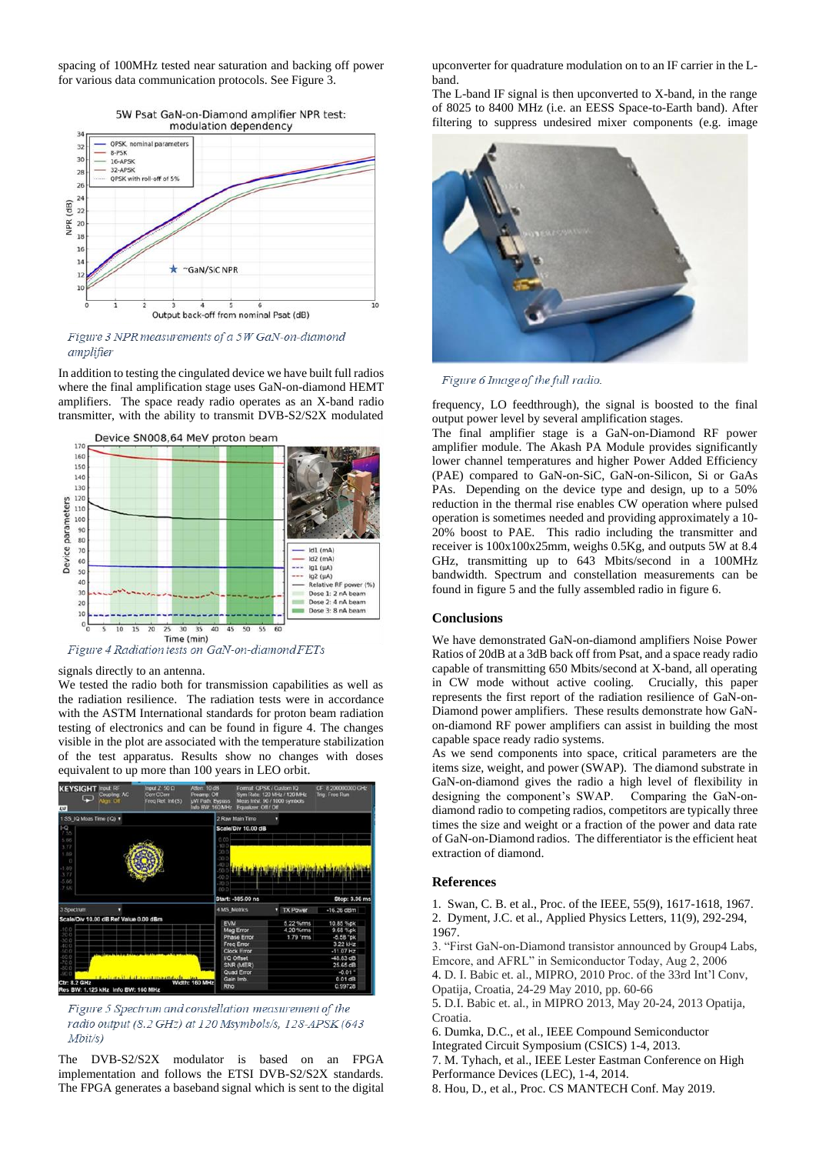spacing of 100MHz tested near saturation and backing off power for various data communication protocols. See Figure 3.

5W Psat GaN-on-Diamond amplifier NPR test:

modulation dependency QPSK, nominal paramet  $\overline{3}$ **R.PSK** 16-APSK<br>32-APSK  $\overline{3}$  $\overline{2}$ OPSK with roll-off of 5%  $\overline{26}$  $\overline{2}$  $(dB)$  $\overline{22}$ NPR<sub>(</sub> 20  $18$  $\overline{16}$  $\mathbf{1}$ "GaN/SiC NPR  $\mathbf{1}$  $\mathbf{u}$ Output back-off from nominal Psat (dB)

Figure 3 NPR measurements of a 5W GaN-on-diamond *amplifier* 

In addition to testing the cingulated device we have built full radios where the final amplification stage uses GaN-on-diamond HEMT amplifiers. The space ready radio operates as an X-band radio transmitter, with the ability to transmit DVB-S2/S2X modulated



signals directly to an antenna.

We tested the radio both for transmission capabilities as well as the radiation resilience. The radiation tests were in accordance with the ASTM International standards for proton beam radiation testing of electronics and can be found in figure 4. The changes visible in the plot are associated with the temperature stabilization of the test apparatus. Results show no changes with doses equivalent to up more than 100 years in LEO orbit.



Figure 5 Spectrum and constellation measurement of the radio output (8.2 GHz) at 120 Msymbols/s, 128-APSK (643  $Mbit/s)$ 

The DVB-S2/S2X modulator is based on an FPGA implementation and follows the ETSI DVB-S2/S2X standards. The FPGA generates a baseband signal which is sent to the digital upconverter for quadrature modulation on to an IF carrier in the Lband.

The L-band IF signal is then upconverted to X-band, in the range of 8025 to 8400 MHz (i.e. an EESS Space-to-Earth band). After filtering to suppress undesired mixer components (e.g. image



Figure 6 Image of the full radio.

frequency, LO feedthrough), the signal is boosted to the final output power level by several amplification stages.

The final amplifier stage is a GaN-on-Diamond RF power amplifier module. The Akash PA Module provides significantly lower channel temperatures and higher Power Added Efficiency (PAE) compared to GaN-on-SiC, GaN-on-Silicon, Si or GaAs PAs. Depending on the device type and design, up to a 50% reduction in the thermal rise enables CW operation where pulsed operation is sometimes needed and providing approximately a 10- 20% boost to PAE. This radio including the transmitter and receiver is 100x100x25mm, weighs 0.5Kg, and outputs 5W at 8.4 GHz, transmitting up to 643 Mbits/second in a 100MHz bandwidth. Spectrum and constellation measurements can be found in figure 5 and the fully assembled radio in figure 6.

# **Conclusions**

We have demonstrated GaN-on-diamond amplifiers Noise Power Ratios of 20dB at a 3dB back off from Psat, and a space ready radio capable of transmitting 650 Mbits/second at X-band, all operating in CW mode without active cooling. Crucially, this paper represents the first report of the radiation resilience of GaN-on-Diamond power amplifiers. These results demonstrate how GaNon-diamond RF power amplifiers can assist in building the most capable space ready radio systems.

As we send components into space, critical parameters are the items size, weight, and power (SWAP). The diamond substrate in GaN-on-diamond gives the radio a high level of flexibility in designing the component's SWAP. Comparing the GaN-ondiamond radio to competing radios, competitors are typically three times the size and weight or a fraction of the power and data rate of GaN-on-Diamond radios. The differentiator is the efficient heat extraction of diamond.

## **References**

1. Swan, C. B. et al., Proc. of the IEEE, 55(9), 1617-1618, 1967. 2. Dyment, J.C. et al., Applied Physics Letters, 11(9), 292-294, 1967.

3. "First GaN-on-Diamond transistor announced by Group4 Labs, Emcore, and AFRL" in Semiconductor Today, Aug 2, 2006

4. D. I. Babic et. al., MIPRO, 2010 Proc. of the 33rd Int'l Conv,

Opatija, Croatia, 24-29 May 2010, pp. 60-66

5. D.I. Babic et. al., in MIPRO 2013, May 20-24, 2013 Opatija, Croatia.

6. Dumka, D.C., et al., IEEE Compound Semiconductor

Integrated Circuit Symposium (CSICS) 1-4, 2013.

7. M. Tyhach, et al., IEEE Lester Eastman Conference on High Performance Devices (LEC), 1-4, 2014.

8. Hou, D., et al., Proc. CS MANTECH Conf. May 2019.